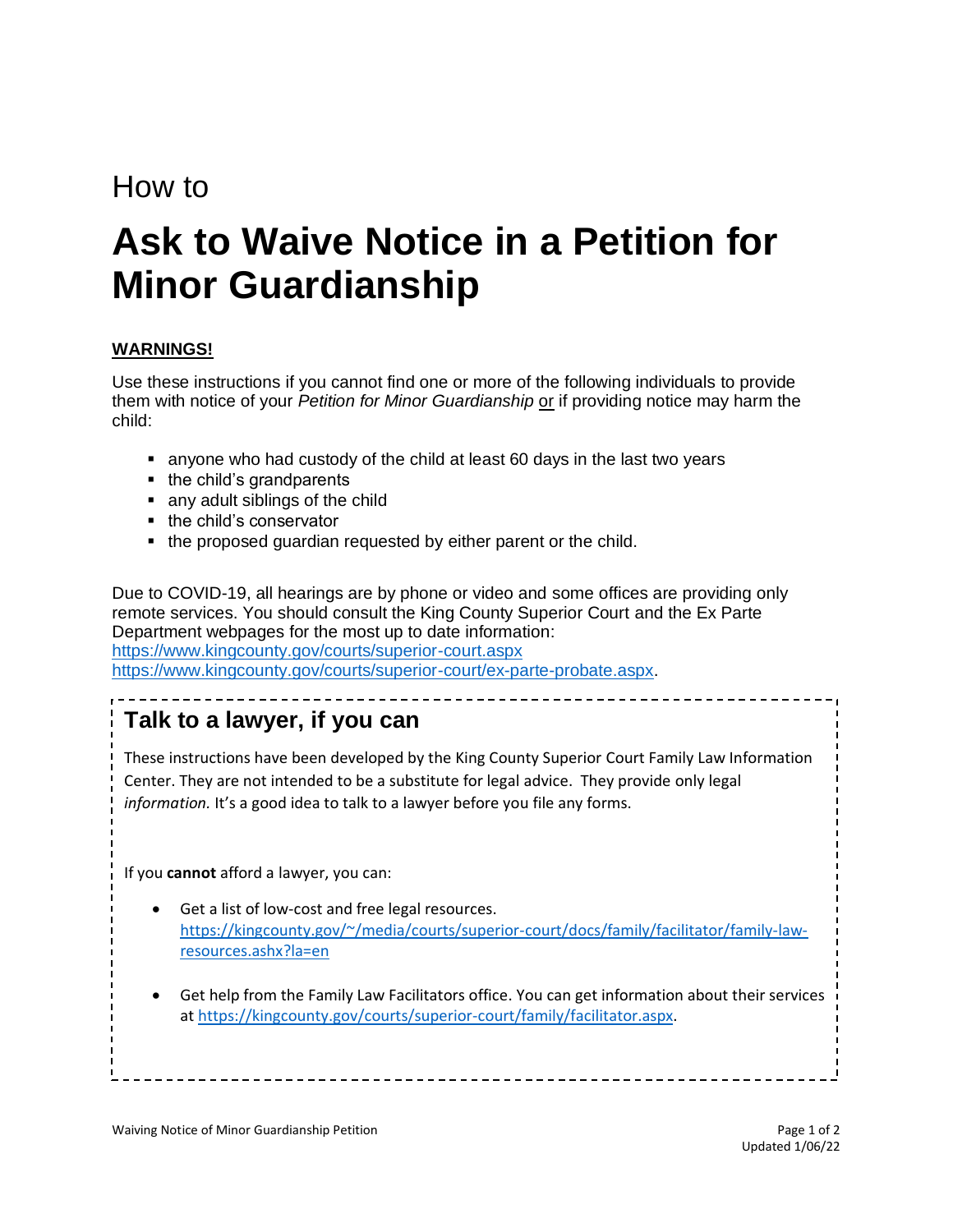## How to

# **Ask to Waive Notice in a Petition for Minor Guardianship**

#### **WARNINGS!**

Use these instructions if you cannot find one or more of the following individuals to provide them with notice of your *Petition for Minor Guardianship* or if providing notice may harm the child:

- anyone who had custody of the child at least 60 days in the last two years
- the child's grandparents
- any adult siblings of the child
- the child's conservator
- the proposed guardian requested by either parent or the child.

Due to COVID-19, all hearings are by phone or video and some offices are providing only remote services. You should consult the King County Superior Court and the Ex Parte Department webpages for the most up to date information: <https://www.kingcounty.gov/courts/superior-court.aspx> [https://www.kingcounty.gov/courts/superior-court/ex-parte-probate.aspx.](https://www.kingcounty.gov/courts/superior-court/ex-parte-probate.aspx)

### **Talk to a lawyer, if you can**

These instructions have been developed by the King County Superior Court Family Law Information Center. They are not intended to be a substitute for legal advice. They provide only legal *information.* It's a good idea to talk to a lawyer before you file any forms.

If you **cannot** afford a lawyer, you can:

- Get a list of low-cost and free legal resources. [https://kingcounty.gov/~/media/courts/superior-court/docs/family/facilitator/family-law](https://kingcounty.gov/~/media/courts/superior-court/docs/family/facilitator/family-law-resources.ashx?la=en)[resources.ashx?la=en](https://kingcounty.gov/~/media/courts/superior-court/docs/family/facilitator/family-law-resources.ashx?la=en)
- Get help from the Family Law Facilitators office. You can get information about their services at [https://kingcounty.gov/courts/superior-court/family/facilitator.aspx.](https://kingcounty.gov/courts/superior-court/family/facilitator.aspx)